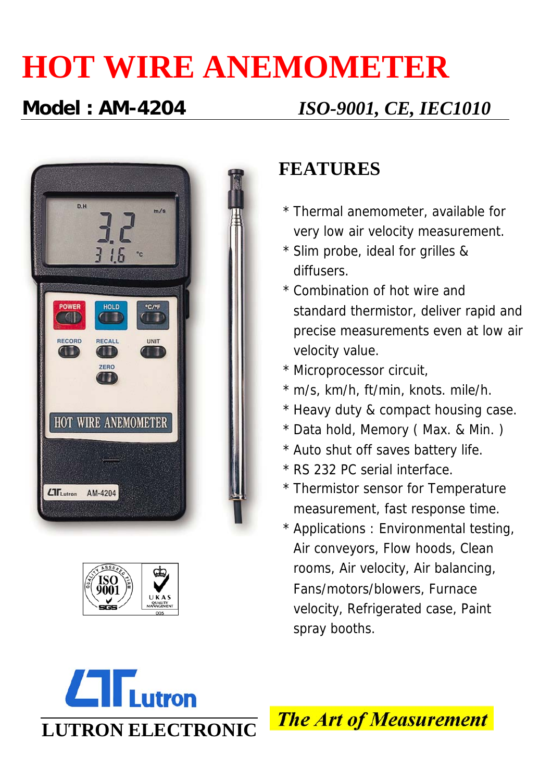# **HOT WIRE ANEMOMETER**

### **Model : AM-4204** *ISO-9001, CE, IEC1010*





#### **FEATURES**

- \* Thermal anemometer, available for very low air velocity measurement.
- \* Slim probe, ideal for grilles & diffusers.
- \* Combination of hot wire and standard thermistor, deliver rapid and precise measurements even at low air velocity value.
- \* Microprocessor circuit,
- \* m/s, km/h, ft/min, knots. mile/h.
- \* Heavy duty & compact housing case.
- \* Data hold, Memory ( Max. & Min. )
- \* Auto shut off saves battery life.
- \* RS 232 PC serial interface.
- \* Thermistor sensor for Temperature measurement, fast response time.
- \* Applications : Environmental testing, Air conveyors, Flow hoods, Clean rooms, Air velocity, Air balancing, Fans/motors/blowers, Furnace velocity, Refrigerated case, Paint spray booths.



**The Art of Measurement**